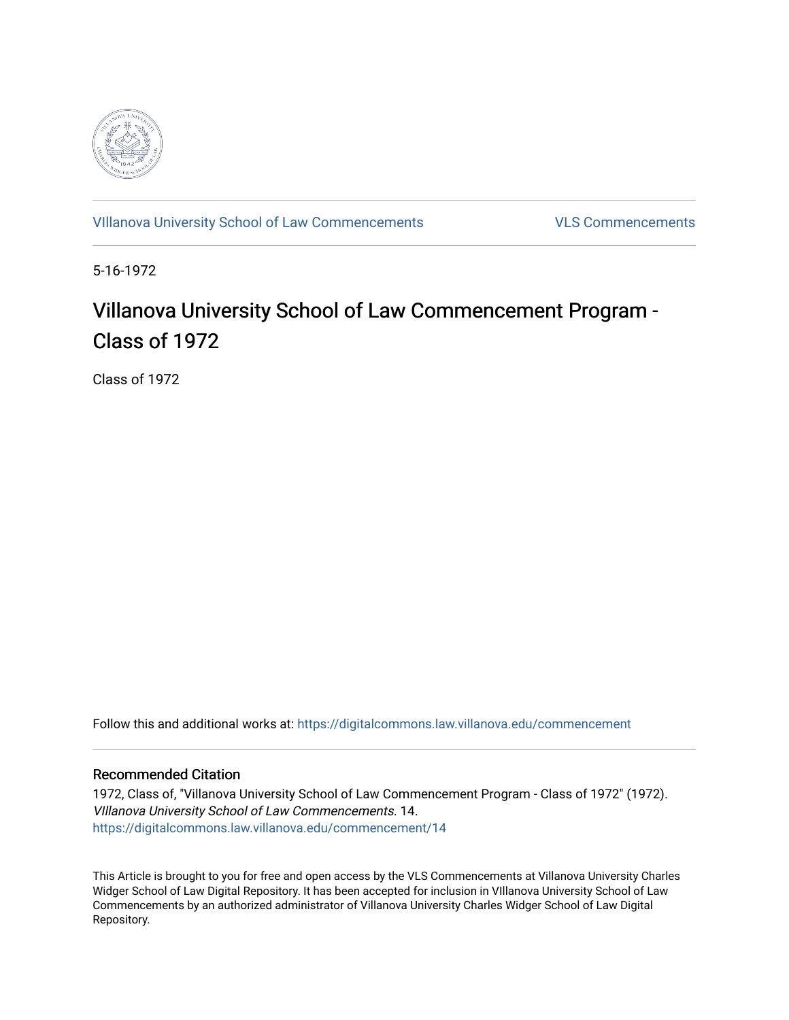

[VIllanova University School of Law Commencements](https://digitalcommons.law.villanova.edu/commencement) [VLS Commencements](https://digitalcommons.law.villanova.edu/vlscommencements) 

5-16-1972

# Villanova University School of Law Commencement Program -Class of 1972

Class of 1972

Follow this and additional works at: [https://digitalcommons.law.villanova.edu/commencement](https://digitalcommons.law.villanova.edu/commencement?utm_source=digitalcommons.law.villanova.edu%2Fcommencement%2F14&utm_medium=PDF&utm_campaign=PDFCoverPages)

## Recommended Citation

1972, Class of, "Villanova University School of Law Commencement Program - Class of 1972" (1972). VIllanova University School of Law Commencements. 14. [https://digitalcommons.law.villanova.edu/commencement/14](https://digitalcommons.law.villanova.edu/commencement/14?utm_source=digitalcommons.law.villanova.edu%2Fcommencement%2F14&utm_medium=PDF&utm_campaign=PDFCoverPages) 

This Article is brought to you for free and open access by the VLS Commencements at Villanova University Charles Widger School of Law Digital Repository. It has been accepted for inclusion in VIllanova University School of Law Commencements by an authorized administrator of Villanova University Charles Widger School of Law Digital Repository.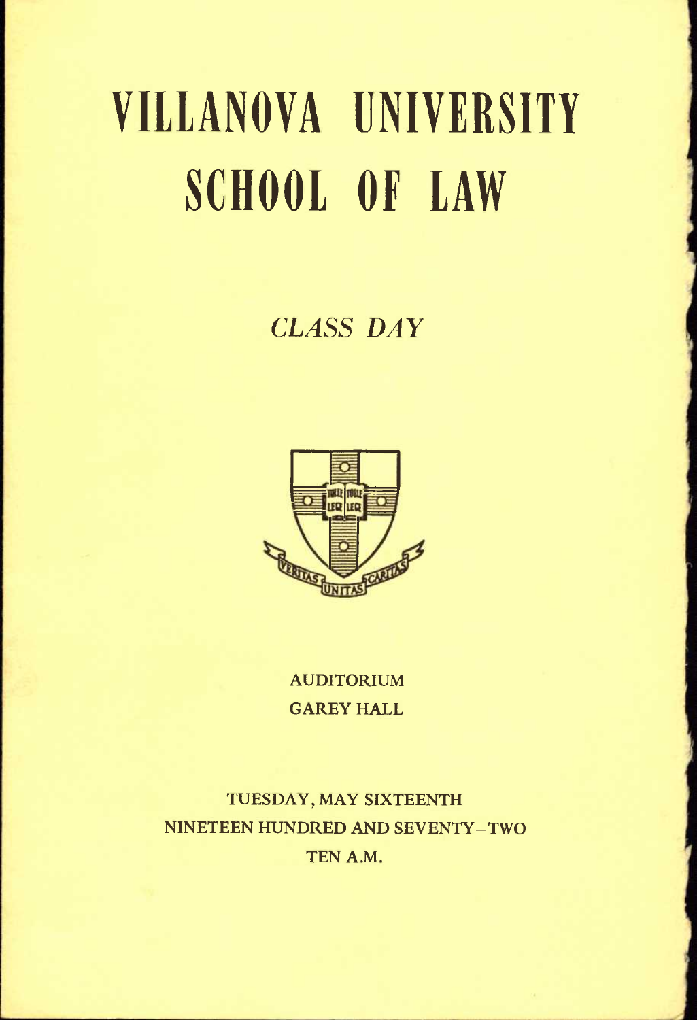# VIllANOVA UNIVERSITY SCHOOL OF lAW

## *CLASS DAY*



AUDITORIUM GAREY HALL

TUESDAY, MAY SIXTEENTH NINETEEN HUNDRED AND SEVENTY-TWO TEN A.M.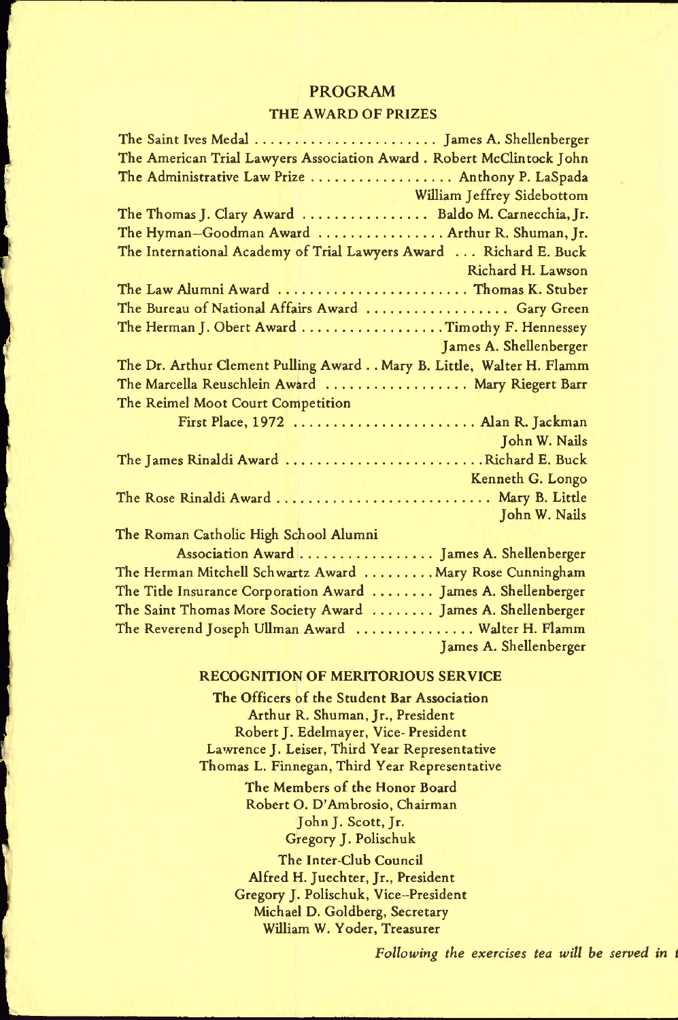#### PROGRAM

#### THE AWARD OF PRIZES

|                                       | The Saint Ives Medal  James A. Shellenberger                         |
|---------------------------------------|----------------------------------------------------------------------|
|                                       | The American Trial Lawyers Association Award. Robert McClintock John |
|                                       | The Administrative Law Prize  Anthony P. LaSpada                     |
|                                       | William Jeffrey Sidebottom                                           |
|                                       | The Thomas J. Clary Award  Baldo M. Carnecchia, Jr.                  |
|                                       | The Hyman-Goodman Award  Arthur R. Shuman, Jr.                       |
|                                       | The International Academy of Trial Lawyers Award  Richard E. Buck    |
|                                       | Richard H. Lawson                                                    |
|                                       | The Law Alumni Award  Thomas K. Stuber                               |
|                                       | The Bureau of National Affairs Award  Gary Green                     |
|                                       | The Herman J. Obert Award Timothy F. Hennessey                       |
|                                       | James A. Shellenberger                                               |
|                                       | The Dr. Arthur Clement Pulling Award Mary B. Little, Walter H. Flamm |
|                                       | The Marcella Reuschlein Award  Mary Riegert Barr                     |
| The Reimel Moot Court Competition     |                                                                      |
|                                       | First Place, 1972  Alan R. Jackman                                   |
|                                       | John W. Nails                                                        |
|                                       | The James Rinaldi Award Richard E. Buck                              |
|                                       | <b>Kenneth G. Longo</b>                                              |
|                                       | The Rose Rinaldi Award  Mary B. Little                               |
|                                       | John W. Nails                                                        |
| The Roman Catholic High School Alumni |                                                                      |
|                                       | Association Award  James A. Shellenberger                            |
|                                       | The Herman Mitchell Schwartz Award  Mary Rose Cunningham             |
|                                       | The Title Insurance Corporation Award  James A. Shellenberger        |
|                                       | The Saint Thomas More Society Award  James A. Shellenberger          |
|                                       | The Reverend Joseph Ullman Award  Walter H. Flamm                    |
|                                       | <b>Example 2018 Tames A. Shellenberger</b>                           |

#### RECOGNITION OF MERITORIOUS SERVICE

The Officers of the Student Bar Association Arthur R. Shuman, Jr., President Robert J. Edelmayer, Vice- President Lawrence J. Leiser, Third Year Representative Thomas L. Finnegan, Third Year Representative

> The Members of the Honor Board Robert O. D'Ambrosio, Chairman John J. Scott, Jr. Gregory J. Polischuk

The Inter-Club Council Alfred H. Juechter, Jr., President Gregory J. Polischuk, Vice-President Michael D. Goldberg, Secretary William W. Yoder, Treasurer

*Following the exercises tea will he served in i*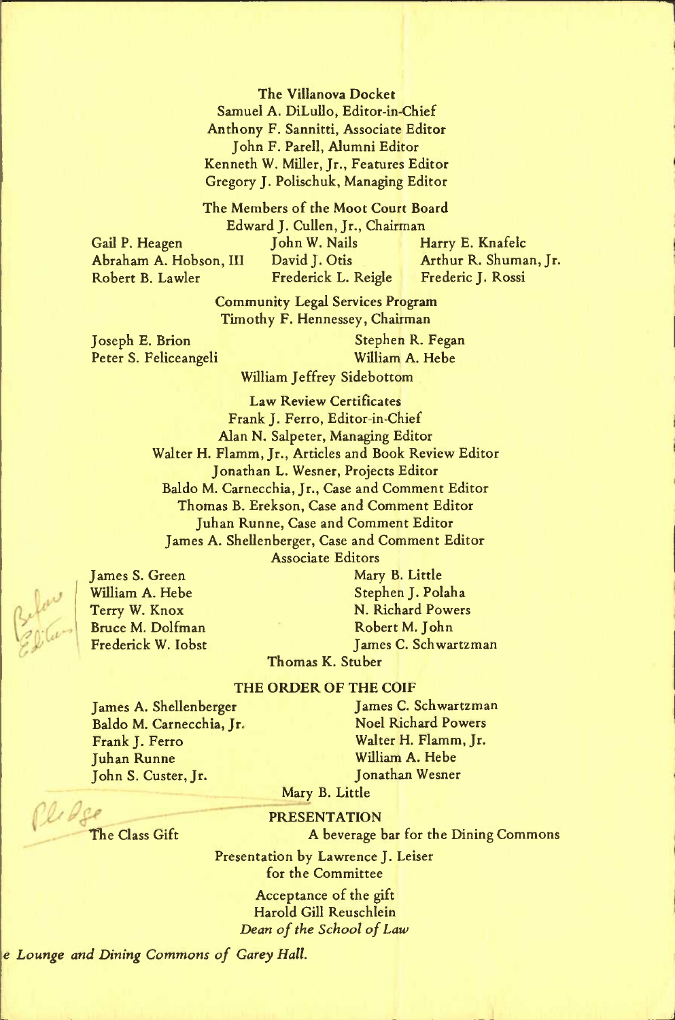The Villanova Docket Samuel A. DiLullo, Editor-in-Chief Anthony F. Sannitti, Associate Editor John F. Parell, Alumni Editor Kenneth W. Miller, Jr., Features Editor Gregory J. Polischuk, Managing Editor

The Members of the Moot Court Board Edward J. Cullen, Jr., Chairman Gail P. Heagen John W. Nails Harry E. Knafelc Abraham A. Hobson, III David J. Otis Arthur R. Shuman, Jr. Frederick L. Reigle

n

J

Community Legal Services Program Timothy F. Hennessey, Chairman

Joseph E. Brion Stephen R. Fegan Peter S. Feliceangeli William A. Hebe

William Jeffrey Sidebottom

Law Review Certificates Frank J. Ferro, Editor-in-Chief Alan N. Salpeter, Managing Editor Walter H. Flamm, Jr., Articles and Book Review Editor Jonathan L. Wesner, Projects Editor Baldo M. Carnecchia, Jr., Case and Comment Editor Thomas B. Erekson, Case and Comment Editor Juhan Runne, Case and Comment Editor James A. Shellenberger, Case and Comment Editor Associate Editors

Bruce M. Dolfman Robert M. John

James S. Green Mary B. Little William A. Hebe Stephen J. Polaha<br>Terry W. Knox N. Richard Power: Terry W. Knox N. Richard Powers Frederick W. Iobst James C. Schwartzman

### Thomas K. Stuber

#### THE ORDER OF THE COIF

James A. Shellenberger Baldo M. Carnecchia, Jr, Frank J. Ferro Juhan Runne John S. Custer, Jr.

James C. Schwartzman Noel Richard Powers Walter H. Flamm, Jr. William A. Hebe Jonathan Wesner

Mary B. Little

Ple de The Class Gift

#### PRESENTATION

A beverage bar for the Dining Commons

Presentation by Lawrence J. Leiser for the Committee

> Acceptance of the gift Harold Gill Reuschlein *Dean of the School of Law*

*e Lounge and Dining Commons of Carey Hall.* 

land ,